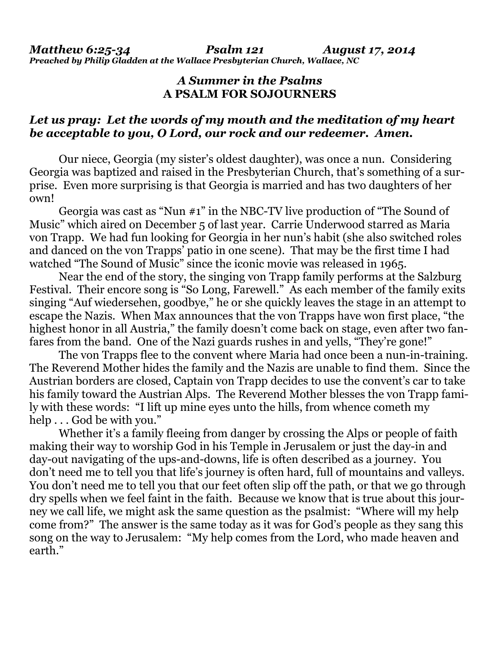## *A Summer in the Psalms*  **A PSALM FOR SOJOURNERS**

## *Let us pray: Let the words of my mouth and the meditation of my heart be acceptable to you, O Lord, our rock and our redeemer. Amen.*

Our niece, Georgia (my sister's oldest daughter), was once a nun. Considering Georgia was baptized and raised in the Presbyterian Church, that's something of a surprise. Even more surprising is that Georgia is married and has two daughters of her own!

 Georgia was cast as "Nun #1" in the NBC-TV live production of "The Sound of Music" which aired on December 5 of last year. Carrie Underwood starred as Maria von Trapp. We had fun looking for Georgia in her nun's habit (she also switched roles and danced on the von Trapps' patio in one scene). That may be the first time I had watched "The Sound of Music" since the iconic movie was released in 1965.

 Near the end of the story, the singing von Trapp family performs at the Salzburg Festival. Their encore song is "So Long, Farewell." As each member of the family exits singing "Auf wiedersehen, goodbye," he or she quickly leaves the stage in an attempt to escape the Nazis. When Max announces that the von Trapps have won first place, "the highest honor in all Austria," the family doesn't come back on stage, even after two fanfares from the band. One of the Nazi guards rushes in and yells, "They're gone!"

 The von Trapps flee to the convent where Maria had once been a nun-in-training. The Reverend Mother hides the family and the Nazis are unable to find them. Since the Austrian borders are closed, Captain von Trapp decides to use the convent's car to take his family toward the Austrian Alps. The Reverend Mother blesses the von Trapp family with these words: "I lift up mine eyes unto the hills, from whence cometh my help . . . God be with you."

Whether it's a family fleeing from danger by crossing the Alps or people of faith making their way to worship God in his Temple in Jerusalem or just the day-in and day-out navigating of the ups-and-downs, life is often described as a journey. You don't need me to tell you that life's journey is often hard, full of mountains and valleys. You don't need me to tell you that our feet often slip off the path, or that we go through dry spells when we feel faint in the faith. Because we know that is true about this journey we call life, we might ask the same question as the psalmist: "Where will my help come from?" The answer is the same today as it was for God's people as they sang this song on the way to Jerusalem: "My help comes from the Lord, who made heaven and earth."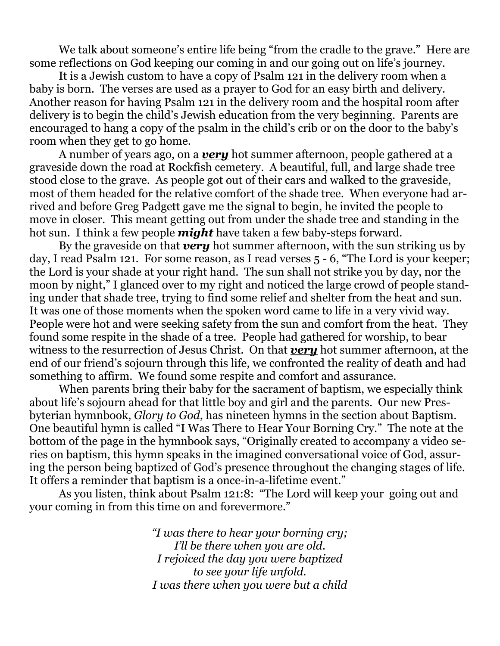We talk about someone's entire life being "from the cradle to the grave." Here are some reflections on God keeping our coming in and our going out on life's journey.

 It is a Jewish custom to have a copy of Psalm 121 in the delivery room when a baby is born. The verses are used as a prayer to God for an easy birth and delivery. Another reason for having Psalm 121 in the delivery room and the hospital room after delivery is to begin the child's Jewish education from the very beginning. Parents are encouraged to hang a copy of the psalm in the child's crib or on the door to the baby's room when they get to go home.

 A number of years ago, on a *very* hot summer afternoon, people gathered at a graveside down the road at Rockfish cemetery. A beautiful, full, and large shade tree stood close to the grave. As people got out of their cars and walked to the graveside, most of them headed for the relative comfort of the shade tree. When everyone had arrived and before Greg Padgett gave me the signal to begin, he invited the people to move in closer. This meant getting out from under the shade tree and standing in the hot sun. I think a few people *might* have taken a few baby-steps forward.

 By the graveside on that *very* hot summer afternoon, with the sun striking us by day, I read Psalm 121. For some reason, as I read verses 5 - 6, "The Lord is your keeper; the Lord is your shade at your right hand. The sun shall not strike you by day, nor the moon by night," I glanced over to my right and noticed the large crowd of people standing under that shade tree, trying to find some relief and shelter from the heat and sun. It was one of those moments when the spoken word came to life in a very vivid way. People were hot and were seeking safety from the sun and comfort from the heat. They found some respite in the shade of a tree. People had gathered for worship, to bear witness to the resurrection of Jesus Christ. On that *very* hot summer afternoon, at the end of our friend's sojourn through this life, we confronted the reality of death and had something to affirm. We found some respite and comfort and assurance.

 When parents bring their baby for the sacrament of baptism, we especially think about life's sojourn ahead for that little boy and girl and the parents. Our new Presbyterian hymnbook, *Glory to God*, has nineteen hymns in the section about Baptism. One beautiful hymn is called "I Was There to Hear Your Borning Cry." The note at the bottom of the page in the hymnbook says, "Originally created to accompany a video series on baptism, this hymn speaks in the imagined conversational voice of God, assuring the person being baptized of God's presence throughout the changing stages of life. It offers a reminder that baptism is a once-in-a-lifetime event."

 As you listen, think about Psalm 121:8: "The Lord will keep your going out and your coming in from this time on and forevermore."

> *"I was there to hear your borning cry; I'll be there when you are old. I rejoiced the day you were baptized to see your life unfold. I was there when you were but a child*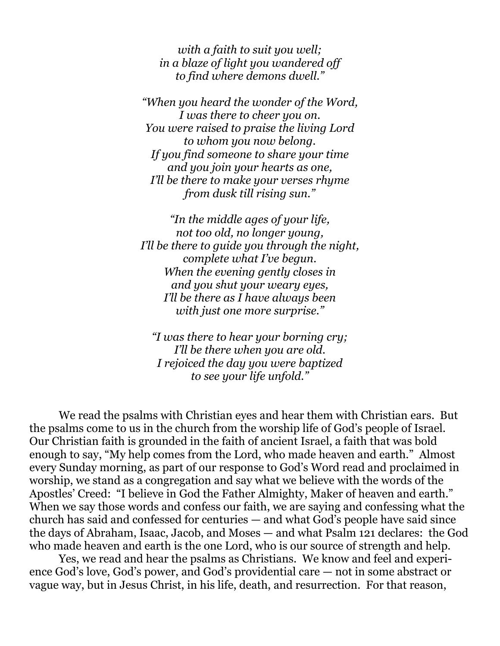*with a faith to suit you well; in a blaze of light you wandered off to find where demons dwell."* 

*"When you heard the wonder of the Word, I was there to cheer you on. You were raised to praise the living Lord to whom you now belong. If you find someone to share your time and you join your hearts as one, I'll be there to make your verses rhyme from dusk till rising sun."* 

*"In the middle ages of your life, not too old, no longer young, I'll be there to guide you through the night, complete what I've begun. When the evening gently closes in and you shut your weary eyes, I'll be there as I have always been with just one more surprise."* 

*"I was there to hear your borning cry; I'll be there when you are old. I rejoiced the day you were baptized to see your life unfold."* 

 We read the psalms with Christian eyes and hear them with Christian ears. But the psalms come to us in the church from the worship life of God's people of Israel. Our Christian faith is grounded in the faith of ancient Israel, a faith that was bold enough to say, "My help comes from the Lord, who made heaven and earth." Almost every Sunday morning, as part of our response to God's Word read and proclaimed in worship, we stand as a congregation and say what we believe with the words of the Apostles' Creed: "I believe in God the Father Almighty, Maker of heaven and earth." When we say those words and confess our faith, we are saying and confessing what the church has said and confessed for centuries — and what God's people have said since the days of Abraham, Isaac, Jacob, and Moses — and what Psalm 121 declares: the God who made heaven and earth is the one Lord, who is our source of strength and help.

 Yes, we read and hear the psalms as Christians. We know and feel and experience God's love, God's power, and God's providential care — not in some abstract or vague way, but in Jesus Christ, in his life, death, and resurrection. For that reason,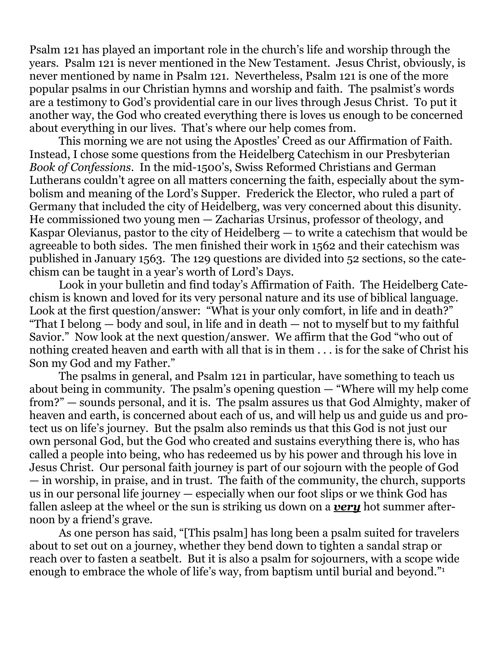Psalm 121 has played an important role in the church's life and worship through the years. Psalm 121 is never mentioned in the New Testament. Jesus Christ, obviously, is never mentioned by name in Psalm 121. Nevertheless, Psalm 121 is one of the more popular psalms in our Christian hymns and worship and faith. The psalmist's words are a testimony to God's providential care in our lives through Jesus Christ. To put it another way, the God who created everything there is loves us enough to be concerned about everything in our lives. That's where our help comes from.

 This morning we are not using the Apostles' Creed as our Affirmation of Faith. Instead, I chose some questions from the Heidelberg Catechism in our Presbyterian *Book of Confessions*. In the mid-1500's, Swiss Reformed Christians and German Lutherans couldn't agree on all matters concerning the faith, especially about the symbolism and meaning of the Lord's Supper. Frederick the Elector, who ruled a part of Germany that included the city of Heidelberg, was very concerned about this disunity. He commissioned two young men — Zacharias Ursinus, professor of theology, and Kaspar Olevianus, pastor to the city of Heidelberg — to write a catechism that would be agreeable to both sides. The men finished their work in 1562 and their catechism was published in January 1563. The 129 questions are divided into 52 sections, so the catechism can be taught in a year's worth of Lord's Days.

 Look in your bulletin and find today's Affirmation of Faith. The Heidelberg Catechism is known and loved for its very personal nature and its use of biblical language. Look at the first question/answer: "What is your only comfort, in life and in death?" "That I belong — body and soul, in life and in death — not to myself but to my faithful Savior." Now look at the next question/answer. We affirm that the God "who out of nothing created heaven and earth with all that is in them . . . is for the sake of Christ his Son my God and my Father."

 The psalms in general, and Psalm 121 in particular, have something to teach us about being in community. The psalm's opening question — "Where will my help come from?" — sounds personal, and it is. The psalm assures us that God Almighty, maker of heaven and earth, is concerned about each of us, and will help us and guide us and protect us on life's journey. But the psalm also reminds us that this God is not just our own personal God, but the God who created and sustains everything there is, who has called a people into being, who has redeemed us by his power and through his love in Jesus Christ. Our personal faith journey is part of our sojourn with the people of God — in worship, in praise, and in trust. The faith of the community, the church, supports us in our personal life journey — especially when our foot slips or we think God has fallen asleep at the wheel or the sun is striking us down on a *very* hot summer afternoon by a friend's grave.

 As one person has said, "[This psalm] has long been a psalm suited for travelers about to set out on a journey, whether they bend down to tighten a sandal strap or reach over to fasten a seatbelt. But it is also a psalm for sojourners, with a scope wide enough to embrace the whole of life's way, from baptism until burial and beyond."1